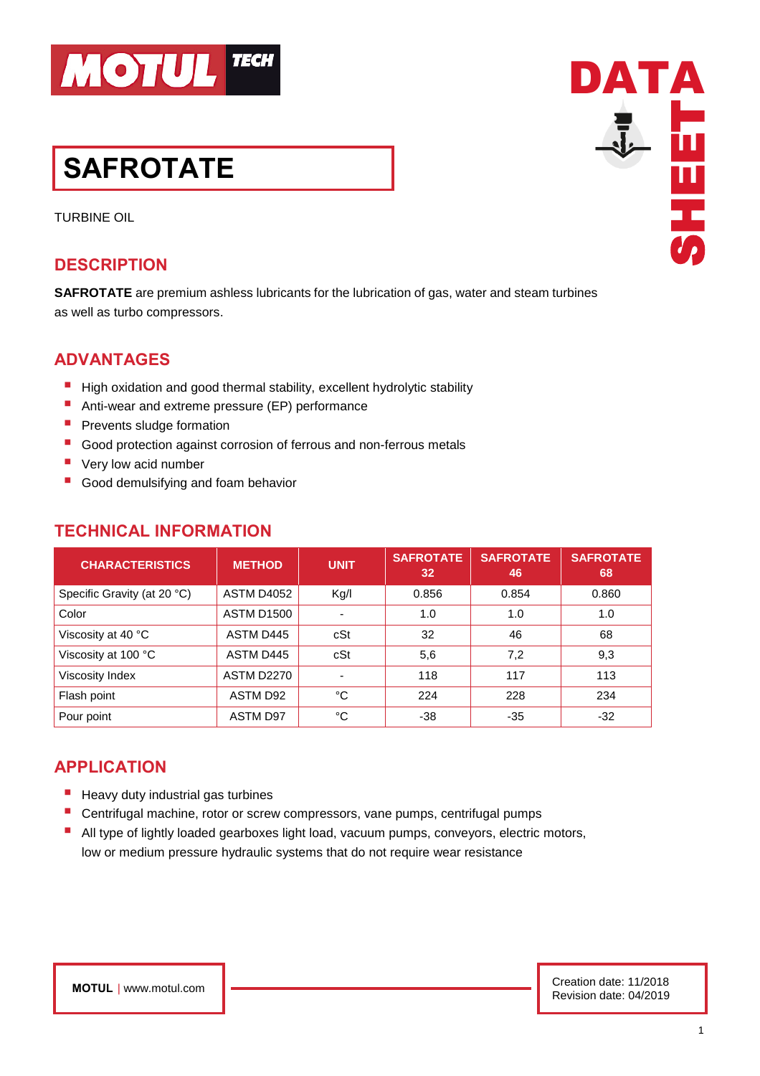

# **SAFROTATE**

TURBINE OIL

## **DESCRIPTION**

**SAFROTATE** are premium ashless lubricants for the lubrication of gas, water and steam turbines as well as turbo compressors.

# **ADVANTAGES**

- High oxidation and good thermal stability, excellent hydrolytic stability
- Anti-wear and extreme pressure (EP) performance
- **P** Prevents sludge formation
- Good protection against corrosion of ferrous and non-ferrous metals
- Very low acid number
- Good demulsifying and foam behavior

| <b>CHARACTERISTICS</b>      | <b>METHOD</b>     | <b>UNIT</b>              | <b>SAFROTATE</b><br>32 | <b>SAFROTATE</b><br>46 | <b>SAFROTATE</b><br>68 |
|-----------------------------|-------------------|--------------------------|------------------------|------------------------|------------------------|
| Specific Gravity (at 20 °C) | <b>ASTM D4052</b> | Kg/I                     | 0.856                  | 0.854                  | 0.860                  |
| Color                       | <b>ASTM D1500</b> | $\overline{\phantom{0}}$ | 1.0                    | 1.0                    | 1.0                    |
| Viscosity at 40 °C          | ASTM D445         | cSt                      | 32                     | 46                     | 68                     |
| Viscosity at 100 °C         | ASTM D445         | cSt                      | 5,6                    | 7,2                    | 9,3                    |
| Viscosity Index             | <b>ASTM D2270</b> |                          | 118                    | 117                    | 113                    |
| Flash point                 | ASTM D92          | °C                       | 224                    | 228                    | 234                    |
| Pour point                  | ASTM D97          | °C                       | -38                    | $-35$                  | $-32$                  |

## **TECHNICAL INFORMATION**

# **APPLICATION**

- **E** Heavy duty industrial gas turbines
- Centrifugal machine, rotor or screw compressors, vane pumps, centrifugal pumps
- All type of lightly loaded gearboxes light load, vacuum pumps, conveyors, electric motors, low or medium pressure hydraulic systems that do not require wear resistance